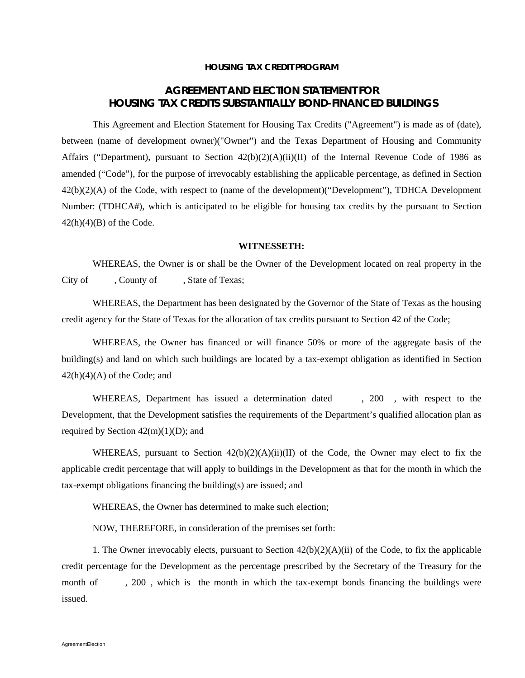## **HOUSING TAX CREDIT PROGRAM**

## **AGREEMENT AND ELECTION STATEMENT FOR HOUSING TAX CREDITS SUBSTANTIALLY BOND-FINANCED BUILDINGS**

This Agreement and Election Statement for Housing Tax Credits ("Agreement") is made as of (date), between (name of development owner)("Owner") and the Texas Department of Housing and Community Affairs ("Department), pursuant to Section  $42(b)(2)(A)(ii)(II)$  of the Internal Revenue Code of 1986 as amended ("Code"), for the purpose of irrevocably establishing the applicable percentage, as defined in Section 42(b)(2)(A) of the Code, with respect to (name of the development)("Development"), TDHCA Development Number: (TDHCA#), which is anticipated to be eligible for housing tax credits by the pursuant to Section  $42(h)(4)(B)$  of the Code.

## **WITNESSETH:**

 WHEREAS, the Owner is or shall be the Owner of the Development located on real property in the City of , County of , State of Texas;

 WHEREAS, the Department has been designated by the Governor of the State of Texas as the housing credit agency for the State of Texas for the allocation of tax credits pursuant to Section 42 of the Code;

 WHEREAS, the Owner has financed or will finance 50% or more of the aggregate basis of the building(s) and land on which such buildings are located by a tax-exempt obligation as identified in Section  $42(h)(4)(A)$  of the Code; and

WHEREAS, Department has issued a determination dated , 200, with respect to the Development, that the Development satisfies the requirements of the Department's qualified allocation plan as required by Section  $42(m)(1)(D)$ ; and

WHEREAS, pursuant to Section  $42(b)(2)(A)(ii)(II)$  of the Code, the Owner may elect to fix the applicable credit percentage that will apply to buildings in the Development as that for the month in which the tax-exempt obligations financing the building(s) are issued; and

WHEREAS, the Owner has determined to make such election;

NOW, THEREFORE, in consideration of the premises set forth:

1. The Owner irrevocably elects, pursuant to Section  $42(b)(2)(A)(ii)$  of the Code, to fix the applicable credit percentage for the Development as the percentage prescribed by the Secretary of the Treasury for the month of , 200, which is the month in which the tax-exempt bonds financing the buildings were issued.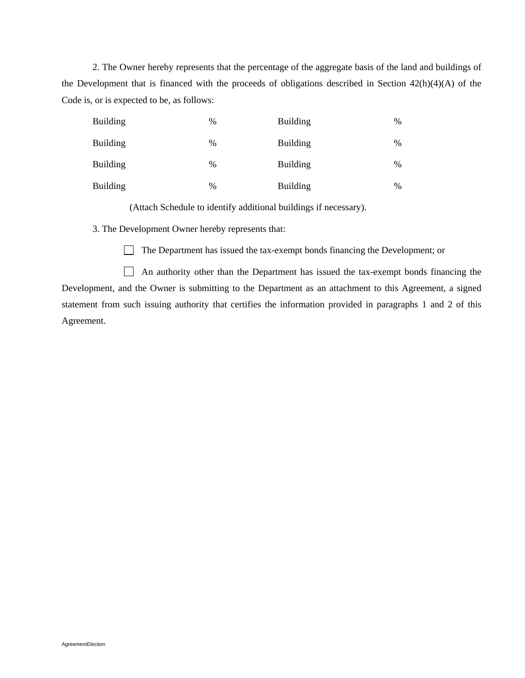2. The Owner hereby represents that the percentage of the aggregate basis of the land and buildings of the Development that is financed with the proceeds of obligations described in Section 42(h)(4)(A) of the Code is, or is expected to be, as follows:

| <b>Building</b> | $\%$          | <b>Building</b> | % |
|-----------------|---------------|-----------------|---|
| <b>Building</b> | %             | <b>Building</b> | % |
| <b>Building</b> | $\%$          | <b>Building</b> | % |
| <b>Building</b> | $\frac{0}{0}$ | <b>Building</b> | % |

(Attach Schedule to identify additional buildings if necessary).

3. The Development Owner hereby represents that:

The Department has issued the tax-exempt bonds financing the Development; or

 An authority other than the Department has issued the tax-exempt bonds financing the Development, and the Owner is submitting to the Department as an attachment to this Agreement, a signed statement from such issuing authority that certifies the information provided in paragraphs 1 and 2 of this Agreement.